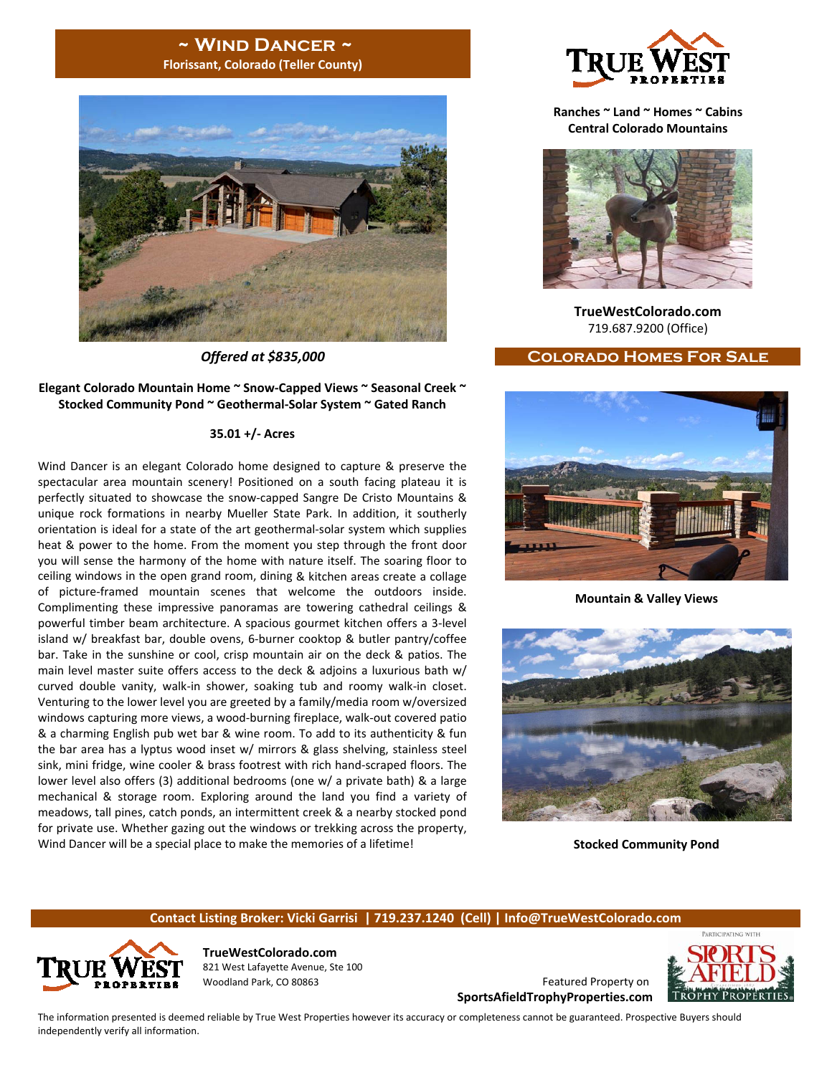## **~ Wind Dancer ~ Florissant, Colorado (Teller County)**



#### **Elegant Colorado Mountain Home ~ Snow‐Capped Views ~ Seasonal Creek ~ Stocked Community Pond ~ Geothermal‐Solar System ~ Gated Ranch**

#### **35.01 +/‐ Acres**

Wind Dancer is an elegant Colorado home designed to capture & preserve the spectacular area mountain scenery! Positioned on a south facing plateau it is perfectly situated to showcase the snow‐capped Sangre De Cristo Mountains & unique rock formations in nearby Mueller State Park. In addition, it southerly orientation is ideal for a state of the art geothermal‐solar system which supplies heat & power to the home. From the moment you step through the front door you will sense the harmony of the home with nature itself. The soaring floor to ceiling windows in the open grand room, dining & kitchen areas create a collage of picture‐framed mountain scenes that welcome the outdoors inside. Complimenting these impressive panoramas are towering cathedral ceilings & powerful timber beam architecture. A spacious gourmet kitchen offers a 3‐level island w/ breakfast bar, double ovens, 6‐burner cooktop & butler pantry/coffee bar. Take in the sunshine or cool, crisp mountain air on the deck & patios. The main level master suite offers access to the deck & adjoins a luxurious bath w/ curved double vanity, walk‐in shower, soaking tub and roomy walk‐in closet. Venturing to the lower level you are greeted by a family/media room w/oversized windows capturing more views, a wood‐burning fireplace, walk‐out covered patio & a charming English pub wet bar & wine room. To add to its authenticity & fun the bar area has a lyptus wood inset w/ mirrors & glass shelving, stainless steel sink, mini fridge, wine cooler & brass footrest with rich hand‐scraped floors. The lower level also offers (3) additional bedrooms (one w/ a private bath) & a large mechanical & storage room. Exploring around the land you find a variety of meadows, tall pines, catch ponds, an intermittent creek & a nearby stocked pond for private use. Whether gazing out the windows or trekking across the property, Wind Dancer will be a special place to make the memories of a lifetime!



**Ranches ~ Land ~ Homes ~ Cabins Central Colorado Mountains**



**TrueWestColorado.com** 719.687.9200 (Office)

#### *Offered at \$835,000* **Colorado Homes For Sale**



**Mountain & Valley Views**



**Stocked Community Pond**

#### **Contact Listing Broker: Vicki Garrisi | 719.237.1240 (Cell) | Info@TrueWestColorado.com**



**TrueWestColorado.com** 821 West Lafayette Avenue, Ste 100 Woodland Park, CO 80863 Featured Property on

**SportsAfieldTrophyProperties.com**



PARTICIPATING WITH

The information presented is deemed reliable by True West Properties however its accuracy or completeness cannot be guaranteed. Prospective Buyers should independently verify all information.